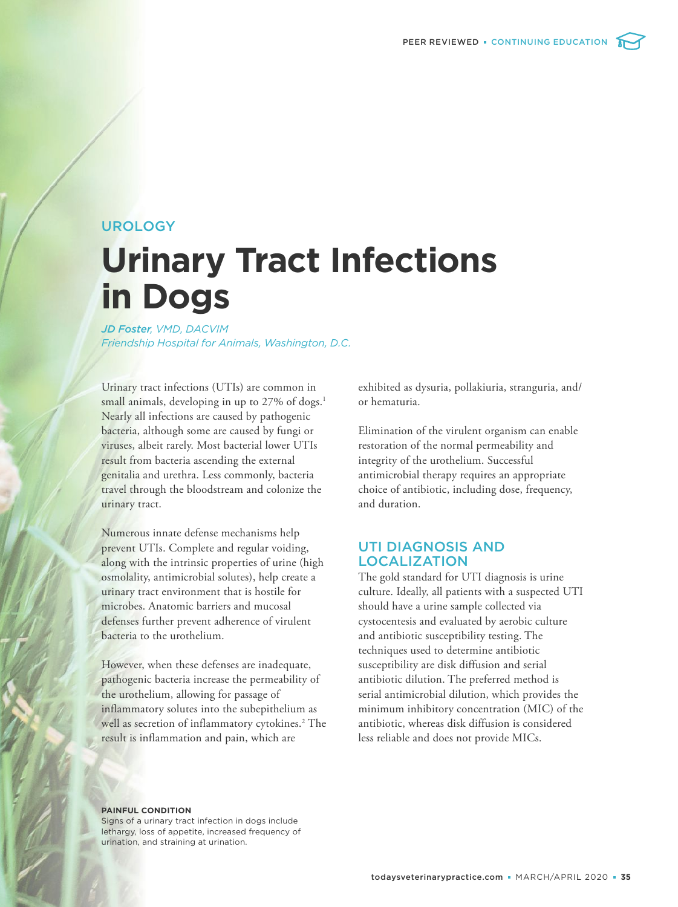# UROLOGY **Urinary Tract Infections in Dogs**

*JD Foster, VMD, DACVIM Friendship Hospital for Animals, Washington, D.C.*

Urinary tract infections (UTIs) are common in small animals, developing in up to 27% of dogs.<sup>1</sup> Nearly all infections are caused by pathogenic bacteria, although some are caused by fungi or viruses, albeit rarely. Most bacterial lower UTIs result from bacteria ascending the external genitalia and urethra. Less commonly, bacteria travel through the bloodstream and colonize the urinary tract.

Numerous innate defense mechanisms help prevent UTIs. Complete and regular voiding, along with the intrinsic properties of urine (high osmolality, antimicrobial solutes), help create a urinary tract environment that is hostile for microbes. Anatomic barriers and mucosal defenses further prevent adherence of virulent bacteria to the urothelium.

However, when these defenses are inadequate, pathogenic bacteria increase the permeability of the urothelium, allowing for passage of inflammatory solutes into the subepithelium as well as secretion of inflammatory cytokines.<sup>2</sup> The result is inflammation and pain, which are

exhibited as dysuria, pollakiuria, stranguria, and/ or hematuria.

Elimination of the virulent organism can enable restoration of the normal permeability and integrity of the urothelium. Successful antimicrobial therapy requires an appropriate choice of antibiotic, including dose, frequency, and duration.

# UTI DIAGNOSIS AND LOCALIZATION

The gold standard for UTI diagnosis is urine culture. Ideally, all patients with a suspected UTI should have a urine sample collected via cystocentesis and evaluated by aerobic culture and antibiotic susceptibility testing. The techniques used to determine antibiotic susceptibility are disk diffusion and serial antibiotic dilution. The preferred method is serial antimicrobial dilution, which provides the minimum inhibitory concentration (MIC) of the antibiotic, whereas disk diffusion is considered less reliable and does not provide MICs.

**PAINFUL CONDITION** Signs of a urinary tract infection in dogs include lethargy, loss of appetite, increased frequency of urination, and straining at urination.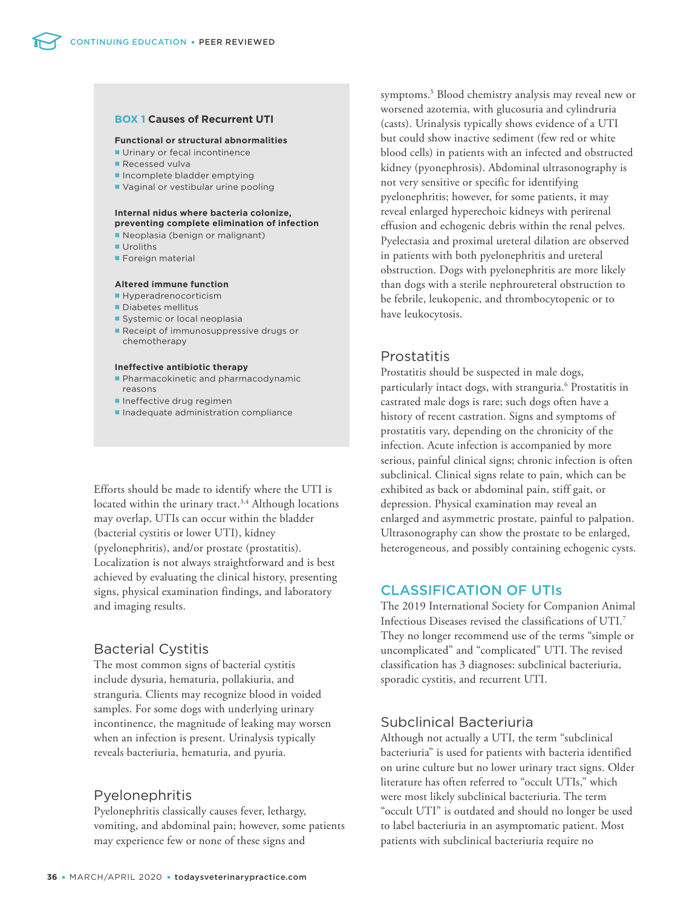



- **Pharmacokinetic and pharmacodynamic** reasons
- $\blacksquare$  Ineffective drug regimen
- Inadequate administration compliance

Efforts should be made to identify where the UTI is located within the urinary tract. $3,4$  Although locations may overlap, UTIs can occur within the bladder (bacterial cystitis or lower UTI), kidney (pyelonephritis), and/or prostate (prostatitis). Localization is not always straightforward and is best achieved by evaluating the clinical history, presenting signs, physical examination findings, and laboratory and imaging results.

#### Bacterial Cystitis

The most common signs of bacterial cystitis include dysuria, hematuria, pollakiuria, and stranguria. Clients may recognize blood in voided samples. For some dogs with underlying urinary incontinence, the magnitude of leaking may worsen when an infection is present. Urinalysis typically reveals bacteriuria, hematuria, and pyuria.

#### Pyelonephritis

Pyelonephritis classically causes fever, lethargy, vomiting, and abdominal pain; however, some patients may experience few or none of these signs and

symptoms.5 Blood chemistry analysis may reveal new or worsened azotemia, with glucosuria and cylindruria (casts). Urinalysis typically shows evidence of a UTI but could show inactive sediment (few red or white blood cells) in patients with an infected and obstructed kidney (pyonephrosis). Abdominal ultrasonography is not very sensitive or specific for identifying pyelonephritis; however, for some patients, it may reveal enlarged hyperechoic kidneys with perirenal effusion and echogenic debris within the renal pelves. Pyelectasia and proximal ureteral dilation are observed in patients with both pyelonephritis and ureteral obstruction. Dogs with pyelonephritis are more likely than dogs with a sterile nephroureteral obstruction to be febrile, leukopenic, and thrombocytopenic or to have leukocytosis.

#### Prostatitis

Prostatitis should be suspected in male dogs, particularly intact dogs, with stranguria.6 Prostatitis in castrated male dogs is rare; such dogs often have a history of recent castration. Signs and symptoms of prostatitis vary, depending on the chronicity of the infection. Acute infection is accompanied by more serious, painful clinical signs; chronic infection is often subclinical. Clinical signs relate to pain, which can be exhibited as back or abdominal pain, stiff gait, or depression. Physical examination may reveal an enlarged and asymmetric prostate, painful to palpation. Ultrasonography can show the prostate to be enlarged, heterogeneous, and possibly containing echogenic cysts.

## CLASSIFICATION OF UTIs

The 2019 International Society for Companion Animal Infectious Diseases revised the classifications of UTI.7 They no longer recommend use of the terms "simple or uncomplicated" and "complicated" UTI. The revised classification has 3 diagnoses: subclinical bacteriuria, sporadic cystitis, and recurrent UTI.

#### Subclinical Bacteriuria

Although not actually a UTI, the term "subclinical bacteriuria" is used for patients with bacteria identified on urine culture but no lower urinary tract signs. Older literature has often referred to "occult UTIs," which were most likely subclinical bacteriuria. The term "occult UTI" is outdated and should no longer be used to label bacteriuria in an asymptomatic patient. Most patients with subclinical bacteriuria require no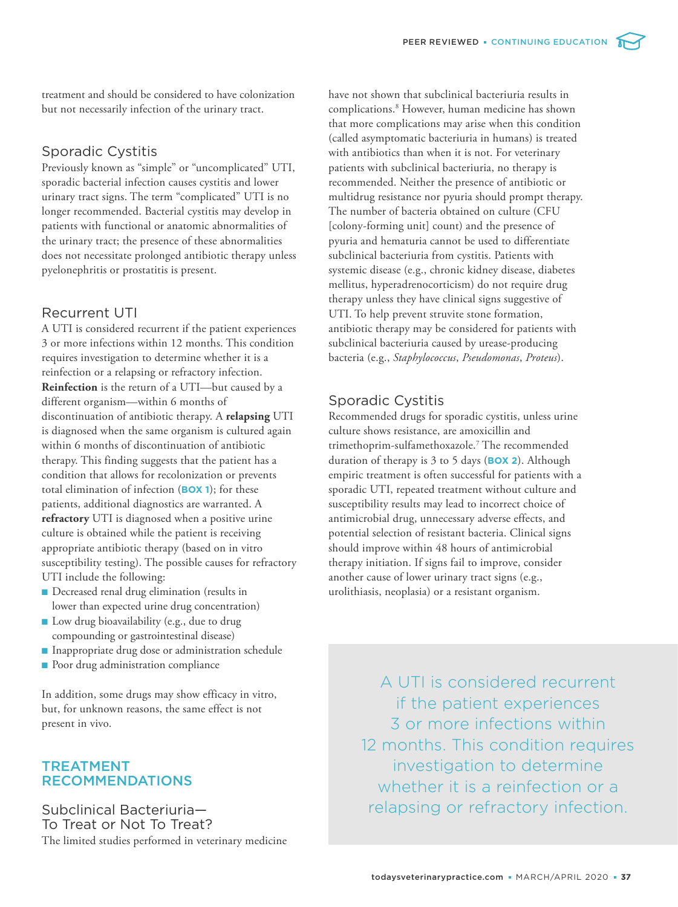treatment and should be considered to have colonization but not necessarily infection of the urinary tract.

#### Sporadic Cystitis

Previously known as "simple" or "uncomplicated" UTI, sporadic bacterial infection causes cystitis and lower urinary tract signs. The term "complicated" UTI is no longer recommended. Bacterial cystitis may develop in patients with functional or anatomic abnormalities of the urinary tract; the presence of these abnormalities does not necessitate prolonged antibiotic therapy unless pyelonephritis or prostatitis is present.

# Recurrent UTI

A UTI is considered recurrent if the patient experiences 3 or more infections within 12 months. This condition requires investigation to determine whether it is a reinfection or a relapsing or refractory infection. **Reinfection** is the return of a UTI—but caused by a different organism—within 6 months of discontinuation of antibiotic therapy. A **relapsing** UTI is diagnosed when the same organism is cultured again within 6 months of discontinuation of antibiotic therapy. This finding suggests that the patient has a condition that allows for recolonization or prevents total elimination of infection (**BOX 1**); for these patients, additional diagnostics are warranted. A **refractory** UTI is diagnosed when a positive urine culture is obtained while the patient is receiving appropriate antibiotic therapy (based on in vitro susceptibility testing). The possible causes for refractory UTI include the following:

- Decreased renal drug elimination (results in lower than expected urine drug concentration)
- Low drug bioavailability (e.g., due to drug compounding or gastrointestinal disease)
- Inappropriate drug dose or administration schedule
- Poor drug administration compliance

In addition, some drugs may show efficacy in vitro, but, for unknown reasons, the same effect is not present in vivo.

# TREATMENT RECOMMENDATIONS

Subclinical Bacteriuria— To Treat or Not To Treat? The limited studies performed in veterinary medicine

have not shown that subclinical bacteriuria results in complications.8 However, human medicine has shown that more complications may arise when this condition (called asymptomatic bacteriuria in humans) is treated with antibiotics than when it is not. For veterinary patients with subclinical bacteriuria, no therapy is recommended. Neither the presence of antibiotic or multidrug resistance nor pyuria should prompt therapy. The number of bacteria obtained on culture (CFU [colony-forming unit] count) and the presence of pyuria and hematuria cannot be used to differentiate subclinical bacteriuria from cystitis. Patients with systemic disease (e.g., chronic kidney disease, diabetes mellitus, hyperadrenocorticism) do not require drug therapy unless they have clinical signs suggestive of UTI. To help prevent struvite stone formation, antibiotic therapy may be considered for patients with subclinical bacteriuria caused by urease-producing bacteria (e.g., *Staphylococcus*, *Pseudomonas*, *Proteus*).

# Sporadic Cystitis

Recommended drugs for sporadic cystitis, unless urine culture shows resistance, are amoxicillin and trimethoprim-sulfamethoxazole.7 The recommended duration of therapy is 3 to 5 days (**BOX 2**). Although empiric treatment is often successful for patients with a sporadic UTI, repeated treatment without culture and susceptibility results may lead to incorrect choice of antimicrobial drug, unnecessary adverse effects, and potential selection of resistant bacteria. Clinical signs should improve within 48 hours of antimicrobial therapy initiation. If signs fail to improve, consider another cause of lower urinary tract signs (e.g., urolithiasis, neoplasia) or a resistant organism.

> A UTI is considered recurrent if the patient experiences 3 or more infections within 12 months. This condition requires investigation to determine whether it is a reinfection or a relapsing or refractory infection.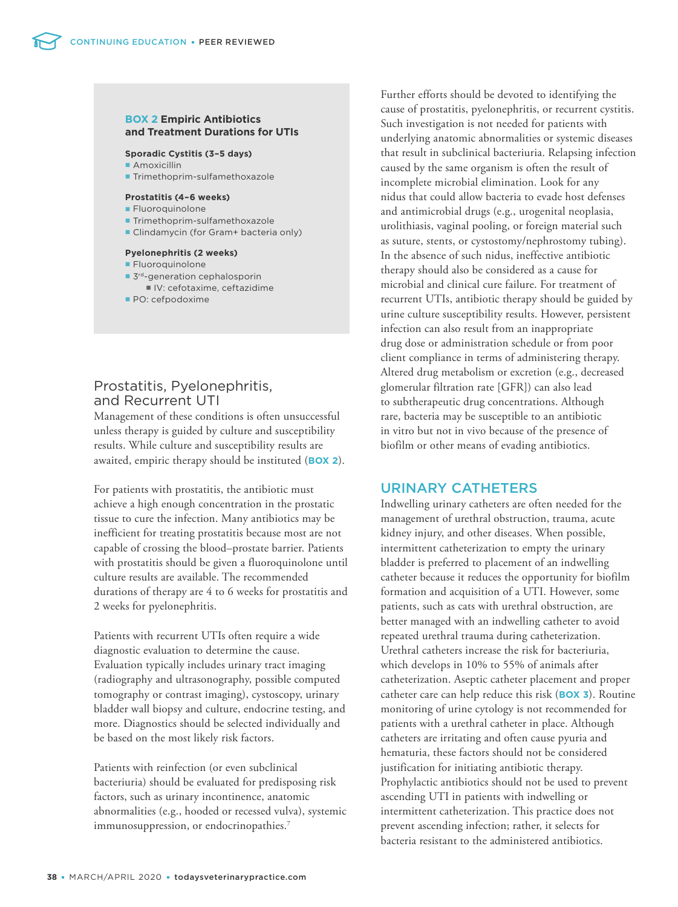#### **BOX 2 Empiric Antibiotics and Treatment Durations for UTIs**

#### **Sporadic Cystitis (3–5 days)**

■ Amoxicillin

**Trimethoprim-sulfamethoxazole** 

#### **Prostatitis (4–6 weeks)**

#### **Fluoroquinolone**

- **Trimethoprim-sulfamethoxazole**
- Clindamycin (for Gram+ bacteria only)

#### **Pyelonephritis (2 weeks)**

- **Fluoroquinolone**
- **3rd-generation cephalosporin** IV: cefotaxime, ceftazidime
- PO: cefpodoxime

# Prostatitis, Pyelonephritis, and Recurrent UTI

Management of these conditions is often unsuccessful unless therapy is guided by culture and susceptibility results. While culture and susceptibility results are awaited, empiric therapy should be instituted (**BOX 2**).

For patients with prostatitis, the antibiotic must achieve a high enough concentration in the prostatic tissue to cure the infection. Many antibiotics may be inefficient for treating prostatitis because most are not capable of crossing the blood–prostate barrier. Patients with prostatitis should be given a fluoroquinolone until culture results are available. The recommended durations of therapy are 4 to 6 weeks for prostatitis and 2 weeks for pyelonephritis.

Patients with recurrent UTIs often require a wide diagnostic evaluation to determine the cause. Evaluation typically includes urinary tract imaging (radiography and ultrasonography, possible computed tomography or contrast imaging), cystoscopy, urinary bladder wall biopsy and culture, endocrine testing, and more. Diagnostics should be selected individually and be based on the most likely risk factors.

Patients with reinfection (or even subclinical bacteriuria) should be evaluated for predisposing risk factors, such as urinary incontinence, anatomic abnormalities (e.g., hooded or recessed vulva), systemic immunosuppression, or endocrinopathies.<sup>7</sup>

Further efforts should be devoted to identifying the cause of prostatitis, pyelonephritis, or recurrent cystitis. Such investigation is not needed for patients with underlying anatomic abnormalities or systemic diseases that result in subclinical bacteriuria. Relapsing infection caused by the same organism is often the result of incomplete microbial elimination. Look for any nidus that could allow bacteria to evade host defenses and antimicrobial drugs (e.g., urogenital neoplasia, urolithiasis, vaginal pooling, or foreign material such as suture, stents, or cystostomy/nephrostomy tubing). In the absence of such nidus, ineffective antibiotic therapy should also be considered as a cause for microbial and clinical cure failure. For treatment of recurrent UTIs, antibiotic therapy should be guided by urine culture susceptibility results. However, persistent infection can also result from an inappropriate drug dose or administration schedule or from poor client compliance in terms of administering therapy. Altered drug metabolism or excretion (e.g., decreased glomerular filtration rate [GFR]) can also lead to subtherapeutic drug concentrations. Although rare, bacteria may be susceptible to an antibiotic in vitro but not in vivo because of the presence of biofilm or other means of evading antibiotics.

# URINARY CATHETERS

Indwelling urinary catheters are often needed for the management of urethral obstruction, trauma, acute kidney injury, and other diseases. When possible, intermittent catheterization to empty the urinary bladder is preferred to placement of an indwelling catheter because it reduces the opportunity for biofilm formation and acquisition of a UTI. However, some patients, such as cats with urethral obstruction, are better managed with an indwelling catheter to avoid repeated urethral trauma during catheterization. Urethral catheters increase the risk for bacteriuria, which develops in 10% to 55% of animals after catheterization. Aseptic catheter placement and proper catheter care can help reduce this risk (**BOX 3**). Routine monitoring of urine cytology is not recommended for patients with a urethral catheter in place. Although catheters are irritating and often cause pyuria and hematuria, these factors should not be considered justification for initiating antibiotic therapy. Prophylactic antibiotics should not be used to prevent ascending UTI in patients with indwelling or intermittent catheterization. This practice does not prevent ascending infection; rather, it selects for bacteria resistant to the administered antibiotics.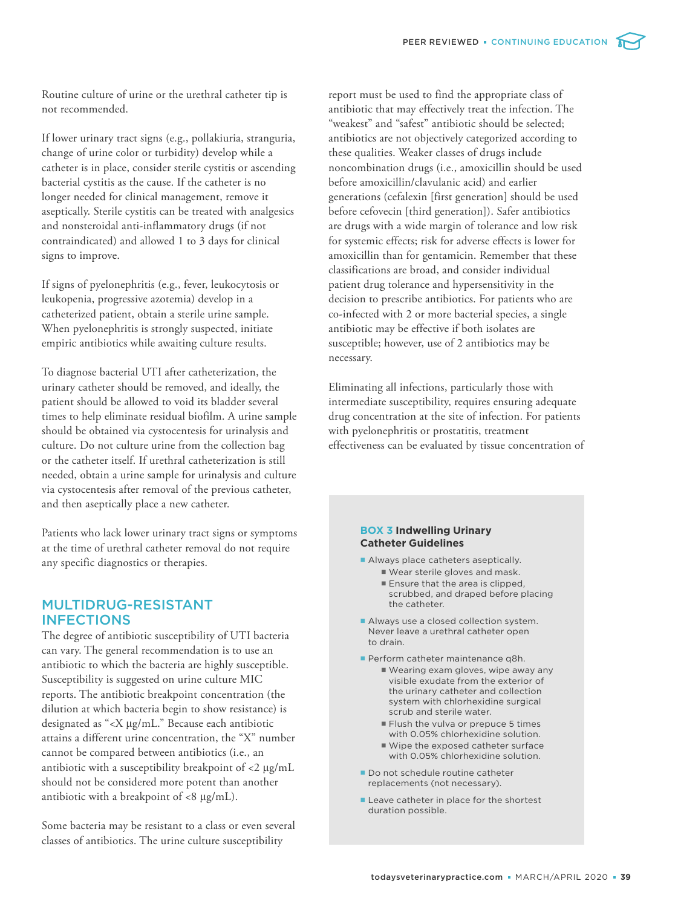Routine culture of urine or the urethral catheter tip is not recommended.

If lower urinary tract signs (e.g., pollakiuria, stranguria, change of urine color or turbidity) develop while a catheter is in place, consider sterile cystitis or ascending bacterial cystitis as the cause. If the catheter is no longer needed for clinical management, remove it aseptically. Sterile cystitis can be treated with analgesics and nonsteroidal anti-inflammatory drugs (if not contraindicated) and allowed 1 to 3 days for clinical signs to improve.

If signs of pyelonephritis (e.g., fever, leukocytosis or leukopenia, progressive azotemia) develop in a catheterized patient, obtain a sterile urine sample. When pyelonephritis is strongly suspected, initiate empiric antibiotics while awaiting culture results.

To diagnose bacterial UTI after catheterization, the urinary catheter should be removed, and ideally, the patient should be allowed to void its bladder several times to help eliminate residual biofilm. A urine sample should be obtained via cystocentesis for urinalysis and culture. Do not culture urine from the collection bag or the catheter itself. If urethral catheterization is still needed, obtain a urine sample for urinalysis and culture via cystocentesis after removal of the previous catheter, and then aseptically place a new catheter.

Patients who lack lower urinary tract signs or symptoms at the time of urethral catheter removal do not require any specific diagnostics or therapies.

#### MULTIDRUG-RESISTANT **INFECTIONS**

The degree of antibiotic susceptibility of UTI bacteria can vary. The general recommendation is to use an antibiotic to which the bacteria are highly susceptible. Susceptibility is suggested on urine culture MIC reports. The antibiotic breakpoint concentration (the dilution at which bacteria begin to show resistance) is designated as "<X μg/mL." Because each antibiotic attains a different urine concentration, the "X" number cannot be compared between antibiotics (i.e., an antibiotic with a susceptibility breakpoint of <2 μg/mL should not be considered more potent than another antibiotic with a breakpoint of <8 μg/mL).

Some bacteria may be resistant to a class or even several classes of antibiotics. The urine culture susceptibility

report must be used to find the appropriate class of antibiotic that may effectively treat the infection. The "weakest" and "safest" antibiotic should be selected; antibiotics are not objectively categorized according to these qualities. Weaker classes of drugs include noncombination drugs (i.e., amoxicillin should be used before amoxicillin/clavulanic acid) and earlier generations (cefalexin [first generation] should be used before cefovecin [third generation]). Safer antibiotics are drugs with a wide margin of tolerance and low risk for systemic effects; risk for adverse effects is lower for amoxicillin than for gentamicin. Remember that these classifications are broad, and consider individual patient drug tolerance and hypersensitivity in the decision to prescribe antibiotics. For patients who are co-infected with 2 or more bacterial species, a single antibiotic may be effective if both isolates are susceptible; however, use of 2 antibiotics may be necessary.

Eliminating all infections, particularly those with intermediate susceptibility, requires ensuring adequate drug concentration at the site of infection. For patients with pyelonephritis or prostatitis, treatment effectiveness can be evaluated by tissue concentration of

#### **BOX 3 Indwelling Urinary Catheter Guidelines**

- Always place catheters aseptically.
	- Wear sterile gloves and mask.
	- **Ensure that the area is clipped,** scrubbed, and draped before placing the catheter.
- Always use a closed collection system. Never leave a urethral catheter open to drain.
- Perform catheter maintenance q8h. Wearing exam gloves, wipe away any visible exudate from the exterior of the urinary catheter and collection system with chlorhexidine surgical scrub and sterile water.
	- **Flush the vulva or prepuce 5 times** with 0.05% chlorhexidine solution.
	- Wipe the exposed catheter surface with 0.05% chlorhexidine solution.
- Do not schedule routine catheter replacements (not necessary).
- **Leave catheter in place for the shortest** duration possible.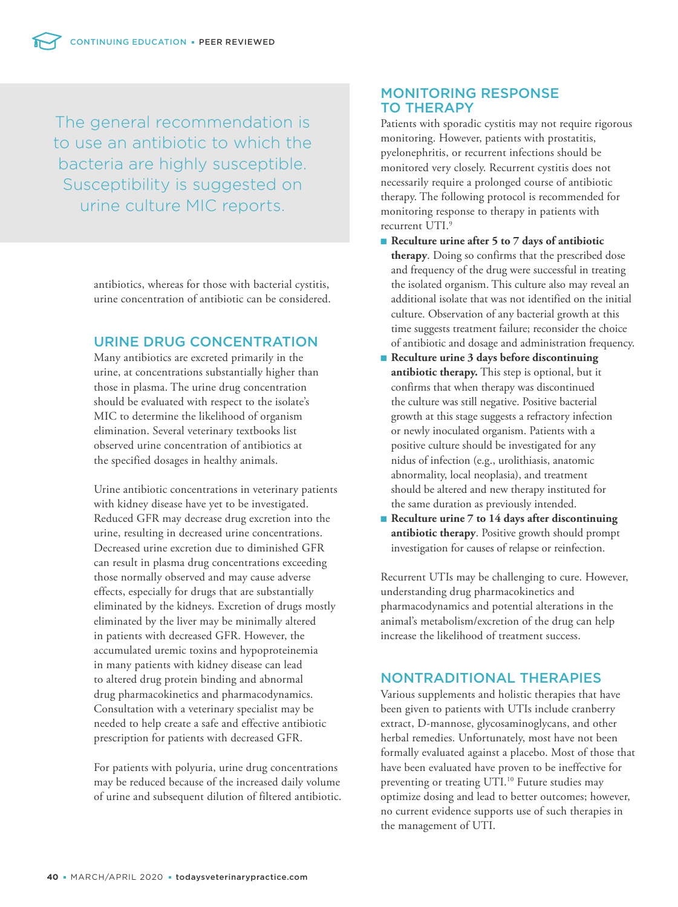The general recommendation is to use an antibiotic to which the bacteria are highly susceptible. Susceptibility is suggested on urine culture MIC reports.

> antibiotics, whereas for those with bacterial cystitis, urine concentration of antibiotic can be considered.

## URINE DRUG CONCENTRATION

Many antibiotics are excreted primarily in the urine, at concentrations substantially higher than those in plasma. The urine drug concentration should be evaluated with respect to the isolate's MIC to determine the likelihood of organism elimination. Several veterinary textbooks list observed urine concentration of antibiotics at the specified dosages in healthy animals.

Urine antibiotic concentrations in veterinary patients with kidney disease have yet to be investigated. Reduced GFR may decrease drug excretion into the urine, resulting in decreased urine concentrations. Decreased urine excretion due to diminished GFR can result in plasma drug concentrations exceeding those normally observed and may cause adverse effects, especially for drugs that are substantially eliminated by the kidneys. Excretion of drugs mostly eliminated by the liver may be minimally altered in patients with decreased GFR. However, the accumulated uremic toxins and hypoproteinemia in many patients with kidney disease can lead to altered drug protein binding and abnormal drug pharmacokinetics and pharmacodynamics. Consultation with a veterinary specialist may be needed to help create a safe and effective antibiotic prescription for patients with decreased GFR.

For patients with polyuria, urine drug concentrations may be reduced because of the increased daily volume of urine and subsequent dilution of filtered antibiotic.

# MONITORING RESPONSE TO THERAPY

Patients with sporadic cystitis may not require rigorous monitoring. However, patients with prostatitis, pyelonephritis, or recurrent infections should be monitored very closely. Recurrent cystitis does not necessarily require a prolonged course of antibiotic therapy. The following protocol is recommended for monitoring response to therapy in patients with recurrent UTI.9

- **Reculture urine after 5 to 7 days of antibiotic therapy**. Doing so confirms that the prescribed dose and frequency of the drug were successful in treating the isolated organism. This culture also may reveal an additional isolate that was not identified on the initial culture. Observation of any bacterial growth at this time suggests treatment failure; reconsider the choice of antibiotic and dosage and administration frequency.
- **Reculture urine 3 days before discontinuing antibiotic therapy.** This step is optional, but it confirms that when therapy was discontinued the culture was still negative. Positive bacterial growth at this stage suggests a refractory infection or newly inoculated organism. Patients with a positive culture should be investigated for any nidus of infection (e.g., urolithiasis, anatomic abnormality, local neoplasia), and treatment should be altered and new therapy instituted for the same duration as previously intended.
- **Reculture urine 7 to 14 days after discontinuing antibiotic therapy**. Positive growth should prompt investigation for causes of relapse or reinfection.

Recurrent UTIs may be challenging to cure. However, understanding drug pharmacokinetics and pharmacodynamics and potential alterations in the animal's metabolism/excretion of the drug can help increase the likelihood of treatment success.

#### NONTRADITIONAL THERAPIES

Various supplements and holistic therapies that have been given to patients with UTIs include cranberry extract, D-mannose, glycosaminoglycans, and other herbal remedies. Unfortunately, most have not been formally evaluated against a placebo. Most of those that have been evaluated have proven to be ineffective for preventing or treating UTI.<sup>10</sup> Future studies may optimize dosing and lead to better outcomes; however, no current evidence supports use of such therapies in the management of UTI.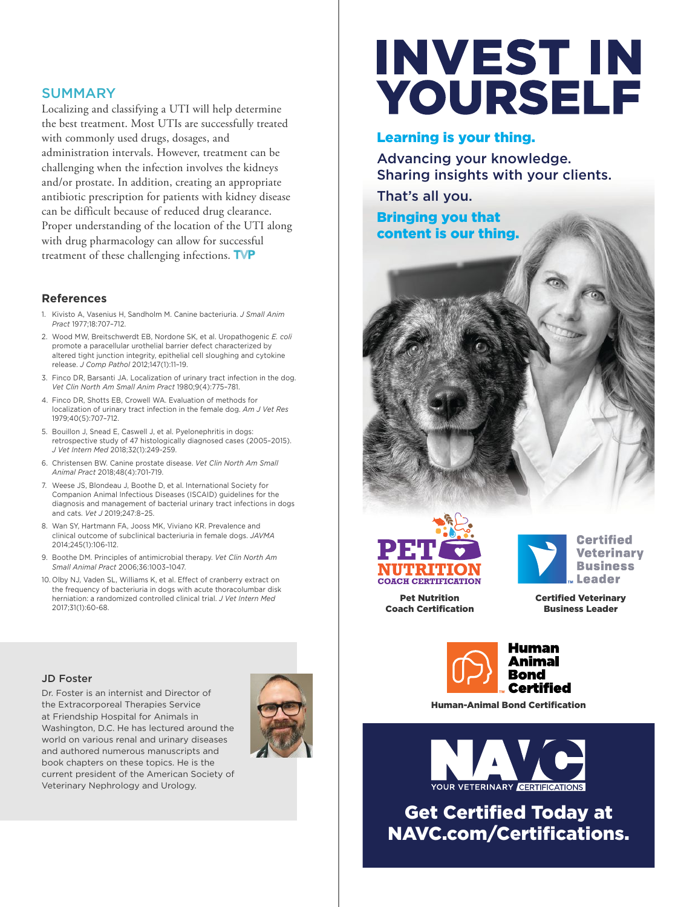#### **SUMMARY**

Localizing and classifying a UTI will help determine the best treatment. Most UTIs are successfully treated with commonly used drugs, dosages, and administration intervals. However, treatment can be challenging when the infection involves the kidneys and/or prostate. In addition, creating an appropriate antibiotic prescription for patients with kidney disease can be difficult because of reduced drug clearance. Proper understanding of the location of the UTI along with drug pharmacology can allow for successful treatment of these challenging infections. TVP

#### **References**

- 1. Kivisto A, Vasenius H, Sandholm M. Canine bacteriuria. *J Small Anim Pract* 1977;18:707–712.
- 2. Wood MW, Breitschwerdt EB, Nordone SK, et al. Uropathogenic *E. coli* promote a paracellular urothelial barrier defect characterized by altered tight junction integrity, epithelial cell sloughing and cytokine release. *J Comp Pathol* 2012;147(1):11–19.
- 3. Finco DR, Barsanti JA. Localization of urinary tract infection in the dog. *Vet Clin North Am Small Anim Pract* 1980;9(4):775–781.
- 4. Finco DR, Shotts EB, Crowell WA. Evaluation of methods for localization of urinary tract infection in the female dog. *Am J Vet Res* 1979;40(5):707–712.
- 5. Bouillon J, Snead E, Caswell J, et al. Pyelonephritis in dogs: retrospective study of 47 histologically diagnosed cases (2005–2015). *J Vet Intern Med* 2018;32(1):249-259.
- 6. Christensen BW. Canine prostate disease. *Vet Clin North Am Small Animal Pract* 2018;48(4):701-719.
- 7. Weese JS, Blondeau J, Boothe D, et al. International Society for Companion Animal Infectious Diseases (ISCAID) guidelines for the diagnosis and management of bacterial urinary tract infections in dogs and cats. *Vet J* 2019;247:8–25.
- 8. Wan SY, Hartmann FA, Jooss MK, Viviano KR. Prevalence and clinical outcome of subclinical bacteriuria in female dogs. *JAVMA*  2014;245(1):106-112.
- 9. Boothe DM. Principles of antimicrobial therapy. *Vet Clin North Am Small Animal Pract* 2006;36:1003–1047.
- 10. Olby NJ, Vaden SL, Williams K, et al. Effect of cranberry extract on the frequency of bacteriuria in dogs with acute thoracolumbar disk herniation: a randomized controlled clinical trial. *J Vet Intern Med* 2017;31(1):60-68.

#### JD Foster

Dr. Foster is an internist and Director of the Extracorporeal Therapies Service at Friendship Hospital for Animals in Washington, D.C. He has lectured around the world on various renal and urinary diseases and authored numerous manuscripts and book chapters on these topics. He is the current president of the American Society of Veterinary Nephrology and Urology.



# **INVEST IN YOURSELF**

# Learning is your thing.

Advancing your knowledge. Sharing insights with your clients.

That's all you.

Bringing you that content is our thing.







**Certified Veterinary Business Leader** 

Pet Nutrition Coach Certification Certified Veterinary Business Leader



Human-Animal Bond Certification



Get Certified Today at NAVC.com/Certifications.